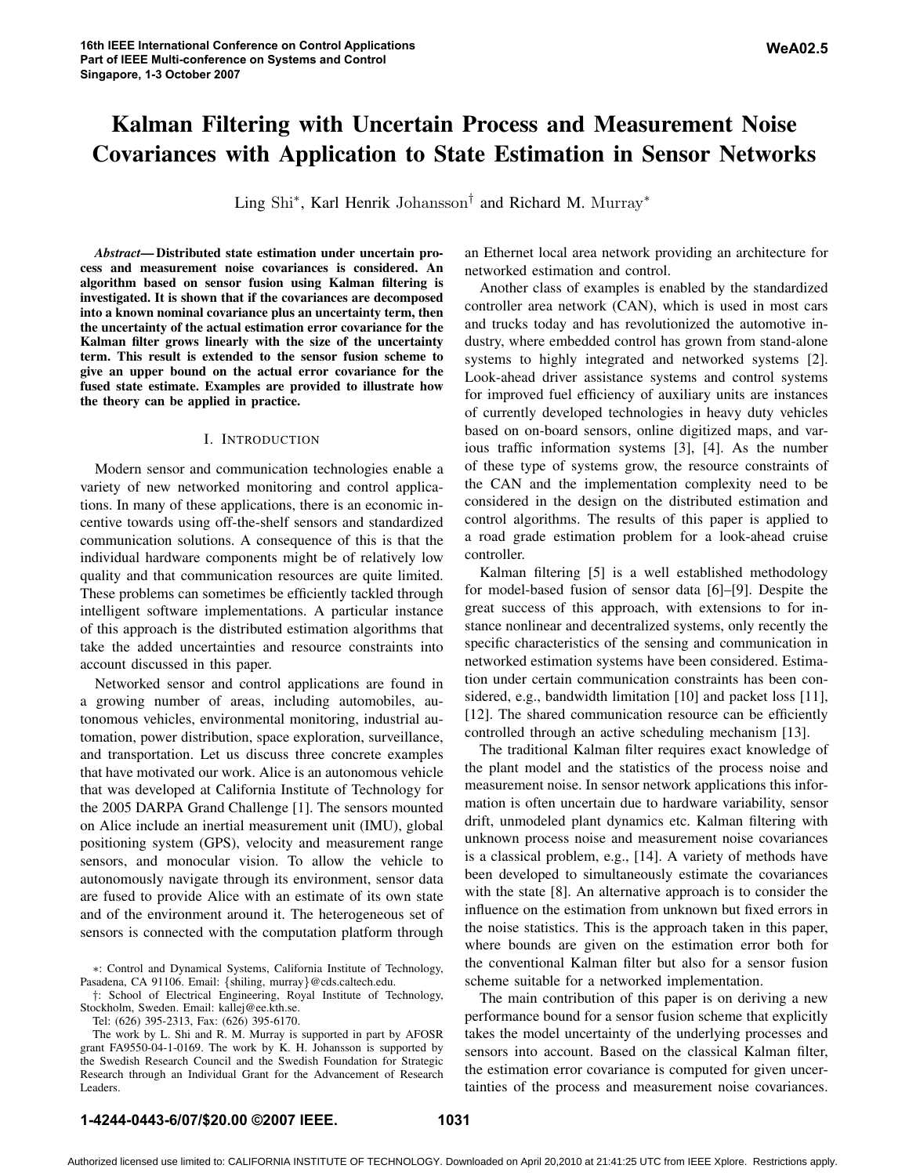# **Kalman Filtering with Uncertain Process and Measurement Noise Covariances with Application to State Estimation in Sensor Networks**

Ling Shi\*, Karl Henrik Johansson<sup>†</sup> and Richard M. Murray\*

*Abstract***—Distributed state estimation under uncertain process and measurement noise covariances is considered. An algorithm based on sensor fusion using Kalman filtering is investigated. It is shown that if the covariances are decomposed into a known nominal covariance plus an uncertainty term, then the uncertainty of the actual estimation error covariance for the Kalman filter grows linearly with the size of the uncertainty term. This result is extended to the sensor fusion scheme to give an upper bound on the actual error covariance for the fused state estimate. Examples are provided to illustrate how the theory can be applied in practice.**

### I. INTRODUCTION

Modern sensor and communication technologies enable a variety of new networked monitoring and control applications. In many of these applications, there is an economic incentive towards using off-the-shelf sensors and standardized communication solutions. A consequence of this is that the individual hardware components might be of relatively low quality and that communication resources are quite limited. These problems can sometimes be efficiently tackled through intelligent software implementations. A particular instance of this approach is the distributed estimation algorithms that take the added uncertainties and resource constraints into account discussed in this paper.

Networked sensor and control applications are found in a growing number of areas, including automobiles, autonomous vehicles, environmental monitoring, industrial automation, power distribution, space exploration, surveillance, and transportation. Let us discuss three concrete examples that have motivated our work. Alice is an autonomous vehicle that was developed at California Institute of Technology for the 2005 DARPA Grand Challenge [1]. The sensors mounted on Alice include an inertial measurement unit (IMU), global positioning system (GPS), velocity and measurement range sensors, and monocular vision. To allow the vehicle to autonomously navigate through its environment, sensor data are fused to provide Alice with an estimate of its own state and of the environment around it. The heterogeneous set of sensors is connected with the computation platform through

∗: Control and Dynamical Systems, California Institute of Technology, Pasadena, CA 91106. Email: {shiling, murray}@cds.caltech.edu.

†: School of Electrical Engineering, Royal Institute of Technology, Stockholm, Sweden. Email: kallej@ee.kth.se.

Tel: (626) 395-2313, Fax: (626) 395-6170.

The work by L. Shi and R. M. Murray is supported in part by AFOSR grant FA9550-04-1-0169. The work by K. H. Johansson is supported by the Swedish Research Council and the Swedish Foundation for Strategic Research through an Individual Grant for the Advancement of Research Leaders.

an Ethernet local area network providing an architecture for networked estimation and control.

Another class of examples is enabled by the standardized controller area network (CAN), which is used in most cars and trucks today and has revolutionized the automotive industry, where embedded control has grown from stand-alone systems to highly integrated and networked systems [2]. Look-ahead driver assistance systems and control systems for improved fuel efficiency of auxiliary units are instances of currently developed technologies in heavy duty vehicles based on on-board sensors, online digitized maps, and various traffic information systems [3], [4]. As the number of these type of systems grow, the resource constraints of the CAN and the implementation complexity need to be considered in the design on the distributed estimation and control algorithms. The results of this paper is applied to a road grade estimation problem for a look-ahead cruise controller.

Kalman filtering [5] is a well established methodology for model-based fusion of sensor data [6]–[9]. Despite the great success of this approach, with extensions to for instance nonlinear and decentralized systems, only recently the specific characteristics of the sensing and communication in networked estimation systems have been considered. Estimation under certain communication constraints has been considered, e.g., bandwidth limitation [10] and packet loss [11], [12]. The shared communication resource can be efficiently controlled through an active scheduling mechanism [13].

The traditional Kalman filter requires exact knowledge of the plant model and the statistics of the process noise and measurement noise. In sensor network applications this information is often uncertain due to hardware variability, sensor drift, unmodeled plant dynamics etc. Kalman filtering with unknown process noise and measurement noise covariances is a classical problem, e.g., [14]. A variety of methods have been developed to simultaneously estimate the covariances with the state [8]. An alternative approach is to consider the influence on the estimation from unknown but fixed errors in the noise statistics. This is the approach taken in this paper, where bounds are given on the estimation error both for the conventional Kalman filter but also for a sensor fusion scheme suitable for a networked implementation.

The main contribution of this paper is on deriving a new performance bound for a sensor fusion scheme that explicitly takes the model uncertainty of the underlying processes and sensors into account. Based on the classical Kalman filter, the estimation error covariance is computed for given uncertainties of the process and measurement noise covariances.

## **1-4244-0443-6/07/\$20.00 ©2007 IEEE. 1031**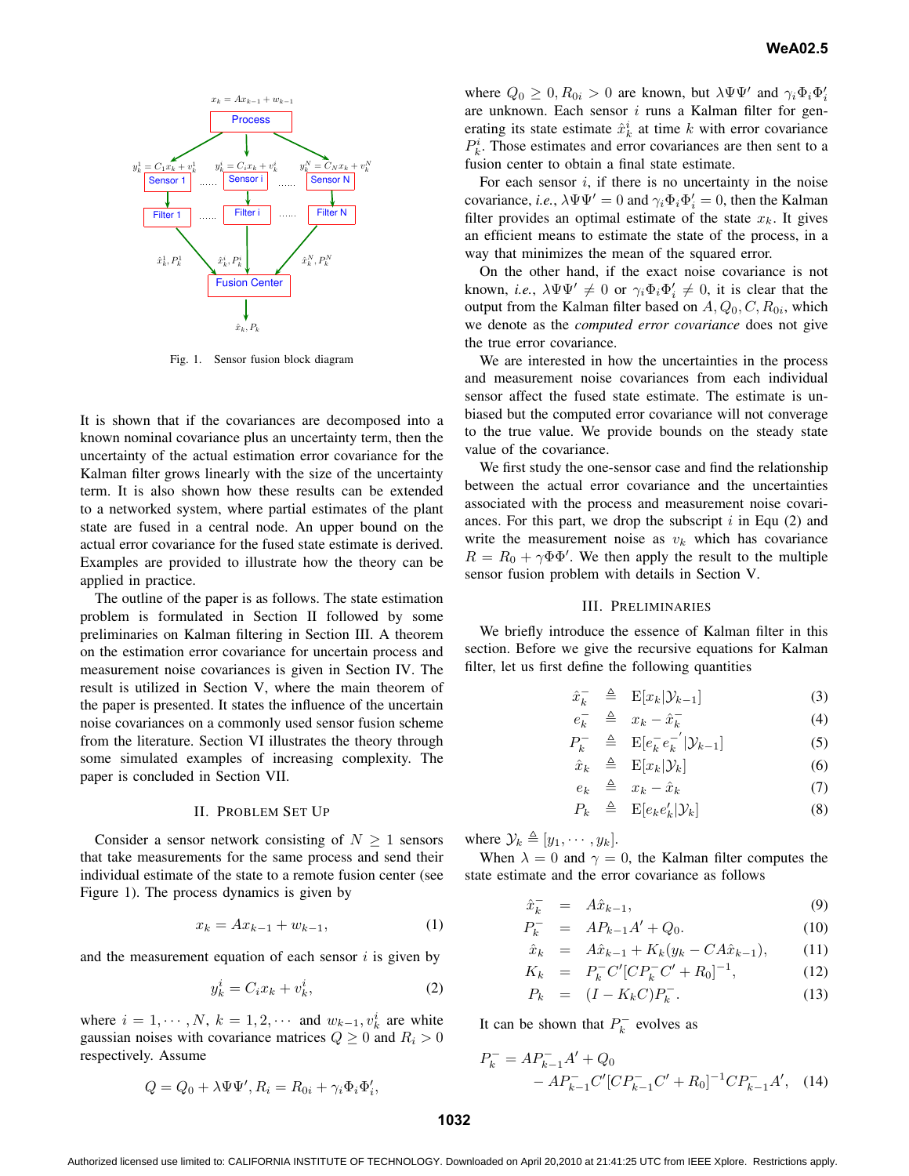

Fig. 1. Sensor fusion block diagram

It is shown that if the covariances are decomposed into a known nominal covariance plus an uncertainty term, then the uncertainty of the actual estimation error covariance for the Kalman filter grows linearly with the size of the uncertainty term. It is also shown how these results can be extended to a networked system, where partial estimates of the plant state are fused in a central node. An upper bound on the actual error covariance for the fused state estimate is derived. Examples are provided to illustrate how the theory can be applied in practice.

The outline of the paper is as follows. The state estimation problem is formulated in Section II followed by some preliminaries on Kalman filtering in Section III. A theorem on the estimation error covariance for uncertain process and measurement noise covariances is given in Section IV. The result is utilized in Section V, where the main theorem of the paper is presented. It states the influence of the uncertain noise covariances on a commonly used sensor fusion scheme from the literature. Section VI illustrates the theory through some simulated examples of increasing complexity. The paper is concluded in Section VII.

#### II. PROBLEM SET UP

Consider a sensor network consisting of  $N \geq 1$  sensors that take measurements for the same process and send their individual estimate of the state to a remote fusion center (see Figure 1). The process dynamics is given by

$$
x_k = Ax_{k-1} + w_{k-1},
$$
 (1)

and the measurement equation of each sensor  $i$  is given by

$$
y_k^i = C_i x_k + v_k^i,\tag{2}
$$

where  $i = 1, \dots, N$ ,  $k = 1, 2, \dots$  and  $w_{k-1}, v_k^i$  are white gaussian noises with covariance matrices  $Q \geq 0$  and  $R_i > 0$ respectively. Assume

$$
Q = Q_0 + \lambda \Psi \Psi', R_i = R_{0i} + \gamma_i \Phi_i \Phi'_i,
$$

where  $Q_0 \geq 0, R_{0i} > 0$  are known, but  $\lambda \Psi \Psi'$  and  $\gamma_i \Phi_i \Phi'_i$ are unknown. Each sensor  $i$  runs a Kalman filter for generating its state estimate  $\hat{x}_k^i$  at time k with error covariance  $P_k^i$ . Those estimates and error covariances are then sent to a fusion center to obtain a final state estimate.

For each sensor  $i$ , if there is no uncertainty in the noise covariance, *i.e.*,  $\lambda \Psi \Psi' = 0$  and  $\gamma_i \Phi_i \Phi'_i = 0$ , then the Kalman filter provides an optimal estimate of the state  $x_k$ . It gives an efficient means to estimate the state of the process, in a way that minimizes the mean of the squared error.

On the other hand, if the exact noise covariance is not known, *i.e.*,  $\lambda \Psi \Psi' \neq 0$  or  $\gamma_i \Phi_i \Phi'_i \neq 0$ , it is clear that the output from the Kalman filter based on  $A, Q_0, C, R_{0i}$ , which we denote as the *computed error covariance* does not give the true error covariance.

We are interested in how the uncertainties in the process and measurement noise covariances from each individual sensor affect the fused state estimate. The estimate is unbiased but the computed error covariance will not converage to the true value. We provide bounds on the steady state value of the covariance.

We first study the one-sensor case and find the relationship between the actual error covariance and the uncertainties associated with the process and measurement noise covariances. For this part, we drop the subscript  $i$  in Equ (2) and write the measurement noise as  $v_k$  which has covariance  $R = R_0 + \gamma \Phi \Phi'$ . We then apply the result to the multiple sensor fusion problem with details in Section V.

### III. PRELIMINARIES

We briefly introduce the essence of Kalman filter in this section. Before we give the recursive equations for Kalman filter, let us first define the following quantities

$$
\hat{x}_k^- \triangleq \mathbb{E}[x_k|\mathcal{Y}_{k-1}] \tag{3}
$$

$$
e_k^- \triangleq x_k - \hat{x}_k^- \tag{4}
$$

$$
P_k^- \triangleq \mathbb{E}[e_k^- e_k^{-'} | \mathcal{Y}_{k-1}] \tag{5}
$$

$$
\hat{x}_k \triangleq \mathbb{E}[x_k|\mathcal{Y}_k] \tag{6}
$$

$$
e_k \triangleq x_k - \hat{x}_k \tag{7}
$$

$$
P_k \triangleq \mathbb{E}[e_k e'_k | \mathcal{Y}_k] \tag{8}
$$

where  $\mathcal{Y}_k \triangleq [y_1, \cdots, y_k].$ 

When  $\lambda = 0$  and  $\gamma = 0$ , the Kalman filter computes the state estimate and the error covariance as follows

$$
\hat{x}_k^- = A\hat{x}_{k-1},\tag{9}
$$

$$
P_k^- = AP_{k-1}A' + Q_0. \t\t(10)
$$

$$
\hat{x}_k = A\hat{x}_{k-1} + K_k(y_k - CA\hat{x}_{k-1}), \quad (11)
$$

$$
K_k = P_k^- C' [C P_k^- C' + R_0]^{-1}, \qquad (12)
$$

$$
P_k = (I - K_k C) P_k^-.
$$
\n<sup>(13)</sup>

It can be shown that  $P_k^-$  evolves as

$$
P_k^- = AP_{k-1}^-A' + Q_0
$$
  
- AP\_{k-1}^-C'[CP\_{k-1}^-C' + R\_0]^{-1}CP\_{k-1}^-A', (14)

**1032**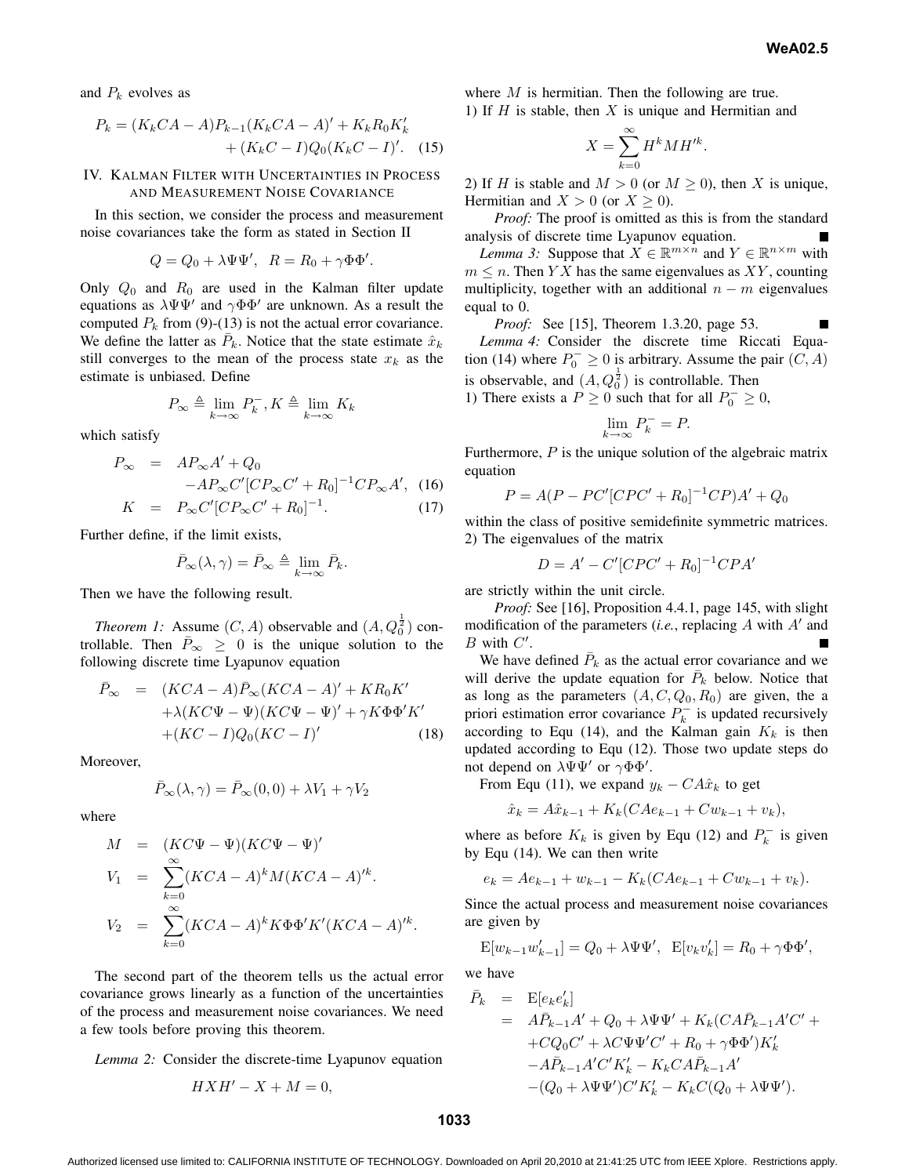and  $P_k$  evolves as

$$
P_k = (K_k CA - A)P_{k-1}(K_k CA - A)' + K_k R_0 K'_k
$$
  
+  $(K_k C - I)Q_0(K_k C - I)'$ . (15)

## IV. KALMAN FILTER WITH UNCERTAINTIES IN PROCESS AND MEASUREMENT NOISE COVARIANCE

In this section, we consider the process and measurement noise covariances take the form as stated in Section II

$$
Q = Q_0 + \lambda \Psi \Psi', \quad R = R_0 + \gamma \Phi \Phi'.
$$

Only  $Q_0$  and  $R_0$  are used in the Kalman filter update equations as  $\lambda \Psi \Psi'$  and  $\gamma \Phi \Phi'$  are unknown. As a result the computed  $P_k$  from (9)-(13) is not the actual error covariance. We define the latter as  $\bar{P}_k$ . Notice that the state estimate  $\hat{x}_k$ still converges to the mean of the process state  $x_k$  as the estimate is unbiased. Define

$$
P_{\infty} \triangleq \lim_{k \to \infty} P_k^-, K \triangleq \lim_{k \to \infty} K_k
$$

which satisfy

$$
P_{\infty} = AP_{\infty}A' + Q_0
$$
  
-AP\_{\infty}C'[CP\_{\infty}C' + R\_0]^{-1}CP\_{\infty}A', (16)  
K = P\_{\infty}C'[CP\_{\infty}C' + R\_0]^{-1}. (17)

Further define, if the limit exists,

$$
\bar{P}_{\infty}(\lambda,\gamma)=\bar{P}_{\infty}\triangleq\lim_{k\rightarrow\infty}\bar{P}_k.
$$

Then we have the following result.

*Theorem 1:* Assume  $(C, A)$  observable and  $(A, Q_0^{\frac{1}{2}})$  controllable. Then  $\bar{P}_{\infty} \geq 0$  is the unique solution to the following discrete time Lyapunov equation

$$
\bar{P}_{\infty} = (KCA - A)\bar{P}_{\infty}(KCA - A)' + KR_0K'
$$
  
+  $\lambda (KC\Psi - \Psi)(KC\Psi - \Psi)' + \gamma K\Phi\Phi'K'$   
+  $(KC - I)Q_0(KC - I)'$  (18)

Moreover,

$$
\bar{P}_{\infty}(\lambda, \gamma) = \bar{P}_{\infty}(0, 0) + \lambda V_1 + \gamma V_2
$$

where

$$
M = (KC\Psi - \Psi)(KC\Psi - \Psi)'
$$
  
\n
$$
V_1 = \sum_{k=0}^{\infty} (KCA - A)^k M (KCA - A)^{k}.
$$
  
\n
$$
V_2 = \sum_{k=0}^{\infty} (KCA - A)^k K \Phi \Phi' K' (KCA - A)^{k}.
$$

The second part of the theorem tells us the actual error covariance grows linearly as a function of the uncertainties of the process and measurement noise covariances. We need a few tools before proving this theorem.

*Lemma 2:* Consider the discrete-time Lyapunov equation

$$
HXH' - X + M = 0,
$$

where  $M$  is hermitian. Then the following are true. 1) If  $H$  is stable, then  $X$  is unique and Hermitian and

$$
X = \sum_{k=0}^{\infty} H^k M H'^k.
$$

2) If H is stable and  $M > 0$  (or  $M > 0$ ), then X is unique, Hermitian and  $X > 0$  (or  $X \ge 0$ ).

*Proof:* The proof is omitted as this is from the standard analysis of discrete time Lyapunov equation.

*Lemma 3:* Suppose that  $\overline{X} \in \mathbb{R}^{m \times n}$  and  $Y \in \mathbb{R}^{n \times m}$  with  $m \leq n$ . Then YX has the same eigenvalues as XY, counting multiplicity, together with an additional  $n - m$  eigenvalues equal to 0.

*Proof:* See [15], Theorem 1.3.20, page 53. *Lemma 4:* Consider the discrete time Riccati Equation (14) where  $P_0^- \ge 0$  is arbitrary. Assume the pair  $(C, A)$ is observable, and  $(A, Q_0^{\frac{1}{2}})$  is controllable. Then

1) There exists a  $P \ge 0$  such that for all  $P_0^- \ge 0$ ,

$$
\lim_{k \to \infty} P_k^- = P.
$$

Furthermore,  $P$  is the unique solution of the algebraic matrix equation

$$
P = A(P - PC'[CPC' + R_0]^{-1}CP)A' + Q_0
$$

within the class of positive semidefinite symmetric matrices. 2) The eigenvalues of the matrix

$$
D = A' - C'[CPC' + R_0]^{-1}CPA'
$$

are strictly within the unit circle.

*Proof:* See [16], Proposition 4.4.1, page 145, with slight modification of the parameters (*i.e.*, replacing A with A′ and  $B$  with  $C'$ .

We have defined  $\bar{P}_k$  as the actual error covariance and we will derive the update equation for  $\bar{P}_k$  below. Notice that as long as the parameters  $(A, C, Q_0, R_0)$  are given, the a priori estimation error covariance  $P_k^-$  is updated recursively according to Equ (14), and the Kalman gain  $K_k$  is then updated according to Equ (12). Those two update steps do not depend on  $\lambda \Psi \Psi'$  or  $\gamma \Phi \Phi'$ .

From Equ (11), we expand  $y_k - CA\hat{x}_k$  to get

$$
\hat{x}_k = A\hat{x}_{k-1} + K_k(CAe_{k-1} + Cw_{k-1} + v_k),
$$

where as before  $K_k$  is given by Equ (12) and  $P_k^-$  is given by Equ (14). We can then write

$$
e_k = Ae_{k-1} + w_{k-1} - K_k(CAe_{k-1} + Cw_{k-1} + v_k).
$$

Since the actual process and measurement noise covariances are given by

$$
E[w_{k-1}w'_{k-1}] = Q_0 + \lambda \Psi \Psi', \quad E[v_k v'_k] = R_0 + \gamma \Phi \Phi',
$$

we have

P¯

$$
\begin{array}{rcl}\n\bar{P}_k & = & \mathbf{E}[e_k e'_k] \\
& = & A\bar{P}_{k-1}A' + Q_0 + \lambda \Psi \Psi' + K_k(CA\bar{P}_{k-1}A'C' + \\
& + CQ_0C' + \lambda C\Psi\Psi'C' + R_0 + \gamma \Phi\Phi')K'_k \\
& - A\bar{P}_{k-1}A'C'K'_k - K_kCA\bar{P}_{k-1}A' \\
& -(Q_0 + \lambda \Psi\Psi')C'K'_k - K_kC(Q_0 + \lambda \Psi\Psi').\n\end{array}
$$

**1033**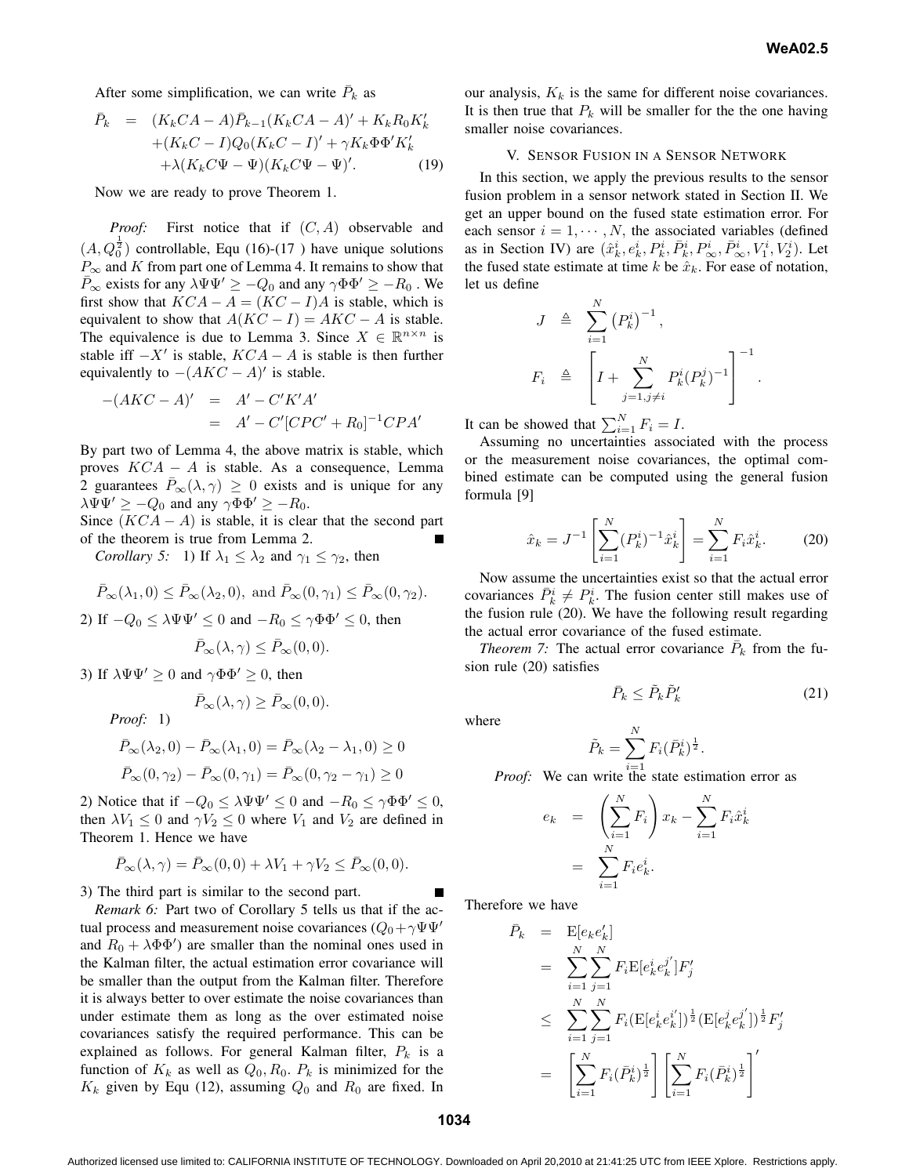After some simplification, we can write  $\bar{P}_k$  as

$$
\bar{P}_k = (K_k CA - A)\bar{P}_{k-1}(K_k CA - A)' + K_k R_0 K'_k \n+ (K_k C - I)Q_0(K_k C - I)' + \gamma K_k \Phi \Phi' K'_k \n+ \lambda (K_k C \Psi - \Psi)(K_k C \Psi - \Psi').
$$
\n(19)

Now we are ready to prove Theorem 1.

*Proof:* First notice that if  $(C, A)$  observable and  $(A, Q_0^{\frac{1}{2}})$  controllable, Equ (16)-(17) have unique solutions  $P_{\infty}$  and K from part one of Lemma 4. It remains to show that  $\bar{P}_{\infty}$  exists for any  $\lambda \Psi \Psi' \ge -Q_0$  and any  $\gamma \Phi \Phi' \ge -R_0$ . We first show that  $KCA - A = (KC - I)A$  is stable, which is equivalent to show that  $A(KC - I) = AKC - A$  is stable. The equivalence is due to Lemma 3. Since  $X \in \mathbb{R}^{n \times n}$  is stable iff  $-X'$  is stable,  $KCA - A$  is stable is then further equivalently to  $-(AKC - A)$ ' is stable.

$$
-(AKC - A)' = A' - C'K'A'
$$
  
= A' - C'[CPC' + R<sub>0</sub>]<sup>-1</sup>CPA'

By part two of Lemma 4, the above matrix is stable, which proves  $KCA - A$  is stable. As a consequence, Lemma 2 guarantees  $\bar{P}_{\infty}(\lambda, \gamma) \geq 0$  exists and is unique for any  $\lambda \Psi \Psi' \geq -Q_0$  and any  $\gamma \Phi \Phi' \geq -R_0$ .

Since  $(KCA - A)$  is stable, it is clear that the second part of the theorem is true from Lemma 2.

*Corollary* 5: 1) If  $\lambda_1 \leq \lambda_2$  and  $\gamma_1 \leq \gamma_2$ , then

$$
\bar{P}_{\infty}(\lambda_1, 0) \le \bar{P}_{\infty}(\lambda_2, 0), \text{ and } \bar{P}_{\infty}(0, \gamma_1) \le \bar{P}_{\infty}(0, \gamma_2).
$$
  
2) If  $-Q_0 \le \lambda \Psi \Psi' \le 0$  and  $-R_0 \le \gamma \Phi \Phi' \le 0$ , then

$$
\bar{P}_{\infty}(\lambda, \gamma) \le \bar{P}_{\infty}(0, 0).
$$

 $\bar{P}_{\infty}(\lambda, \gamma) \ge \bar{P}_{\infty}(0, 0).$ 

3) If  $\lambda \Psi \Psi' \ge 0$  and  $\gamma \Phi \Phi' \ge 0$ , then

*Proof:* 1)

$$
\bar{P}_{\infty}(\lambda_2, 0) - \bar{P}_{\infty}(\lambda_1, 0) = \bar{P}_{\infty}(\lambda_2 - \lambda_1, 0) \ge 0
$$
  

$$
\bar{P}_{\infty}(0, \gamma_2) - \bar{P}_{\infty}(0, \gamma_1) = \bar{P}_{\infty}(0, \gamma_2 - \gamma_1) \ge 0
$$

2) Notice that if  $-Q_0 \leq \lambda \Psi \Psi' \leq 0$  and  $-R_0 \leq \gamma \Phi \Phi' \leq 0$ , then  $\lambda V_1 \leq 0$  and  $\gamma V_2 \leq 0$  where  $V_1$  and  $V_2$  are defined in Theorem 1. Hence we have

$$
\bar{P}_{\infty}(\lambda, \gamma) = \bar{P}_{\infty}(0, 0) + \lambda V_1 + \gamma V_2 \le \bar{P}_{\infty}(0, 0).
$$

3) The third part is similar to the second part.

*Remark 6:* Part two of Corollary 5 tells us that if the actual process and measurement noise covariances  $(Q_0 + \gamma \Psi \Psi')$ and  $R_0 + \lambda \Phi \Phi'$  are smaller than the nominal ones used in the Kalman filter, the actual estimation error covariance will be smaller than the output from the Kalman filter. Therefore it is always better to over estimate the noise covariances than under estimate them as long as the over estimated noise covariances satisfy the required performance. This can be explained as follows. For general Kalman filter,  $P_k$  is a function of  $K_k$  as well as  $Q_0, R_0, P_k$  is minimized for the  $K_k$  given by Equ (12), assuming  $Q_0$  and  $R_0$  are fixed. In our analysis,  $K_k$  is the same for different noise covariances. It is then true that  $P_k$  will be smaller for the the one having smaller noise covariances.

# V. SENSOR FUSION IN A SENSOR NETWORK

In this section, we apply the previous results to the sensor fusion problem in a sensor network stated in Section II. We get an upper bound on the fused state estimation error. For each sensor  $i = 1, \dots, N$ , the associated variables (defined as in Section IV) are  $(\hat{x}_k^i, e_k^i, P_k^i, \bar{P}_k^i, P_\infty^i, \bar{P}_\infty^i, V_1^i, V_2^i)$ . Let the fused state estimate at time k be  $\hat{x}_k$ . For ease of notation, let us define

$$
J \triangleq \sum_{i=1}^{N} (P_k^i)^{-1},
$$
  

$$
F_i \triangleq \left[ I + \sum_{j=1, j \neq i}^{N} P_k^i (P_k^j)^{-1} \right]^{-1}
$$

It can be showed that  $\sum_{i=1}^{N} F_i = I$ .

Assuming no uncertainties associated with the process or the measurement noise covariances, the optimal combined estimate can be computed using the general fusion formula [9]

$$
\hat{x}_k = J^{-1} \left[ \sum_{i=1}^N (P_k^i)^{-1} \hat{x}_k^i \right] = \sum_{i=1}^N F_i \hat{x}_k^i.
$$
 (20)

Now assume the uncertainties exist so that the actual error covariances  $\bar{P}_k^i \neq P_k^i$ . The fusion center still makes use of the fusion rule (20). We have the following result regarding the actual error covariance of the fused estimate.

*Theorem 7:* The actual error covariance  $\bar{P}_k$  from the fusion rule (20) satisfies

$$
\bar{P}_k \le \tilde{P}_k \tilde{P}_k'
$$
\n(21)

.

where

$$
\tilde{P}_k = \sum_{i=1}^N F_i (\bar{P}_k^i)^{\frac{1}{2}}.
$$

*Proof:* We can write the state estimation error as

$$
e_k = \left(\sum_{i=1}^N F_i\right) x_k - \sum_{i=1}^N F_i \hat{x}_k^i
$$

$$
= \sum_{i=1}^N F_i e_k^i.
$$

Therefore we have

$$
\begin{array}{rcl}\n\bar{P}_k & = & \mathrm{E}[e_k e'_k] \\
& = & \sum_{i=1}^N \sum_{j=1}^N F_i \mathrm{E}[e_k^i e_k^{j'}] F'_j \\
& \leq & \sum_{i=1}^N \sum_{j=1}^N F_i (\mathrm{E}[e_k^i e_k^{i'}])^{\frac{1}{2}} (\mathrm{E}[e_k^j e_k^{j'}])^{\frac{1}{2}} F'_j \\
& = & \left[ \sum_{i=1}^N F_i (\bar{P}_k^i)^{\frac{1}{2}} \right] \left[ \sum_{i=1}^N F_i (\bar{P}_k^i)^{\frac{1}{2}} \right]'\n\end{array}
$$

**1034**

Authorized licensed use limited to: CALIFORNIA INSTITUTE OF TECHNOLOGY. Downloaded on April 20,2010 at 21:41:25 UTC from IEEE Xplore. Restrictions apply.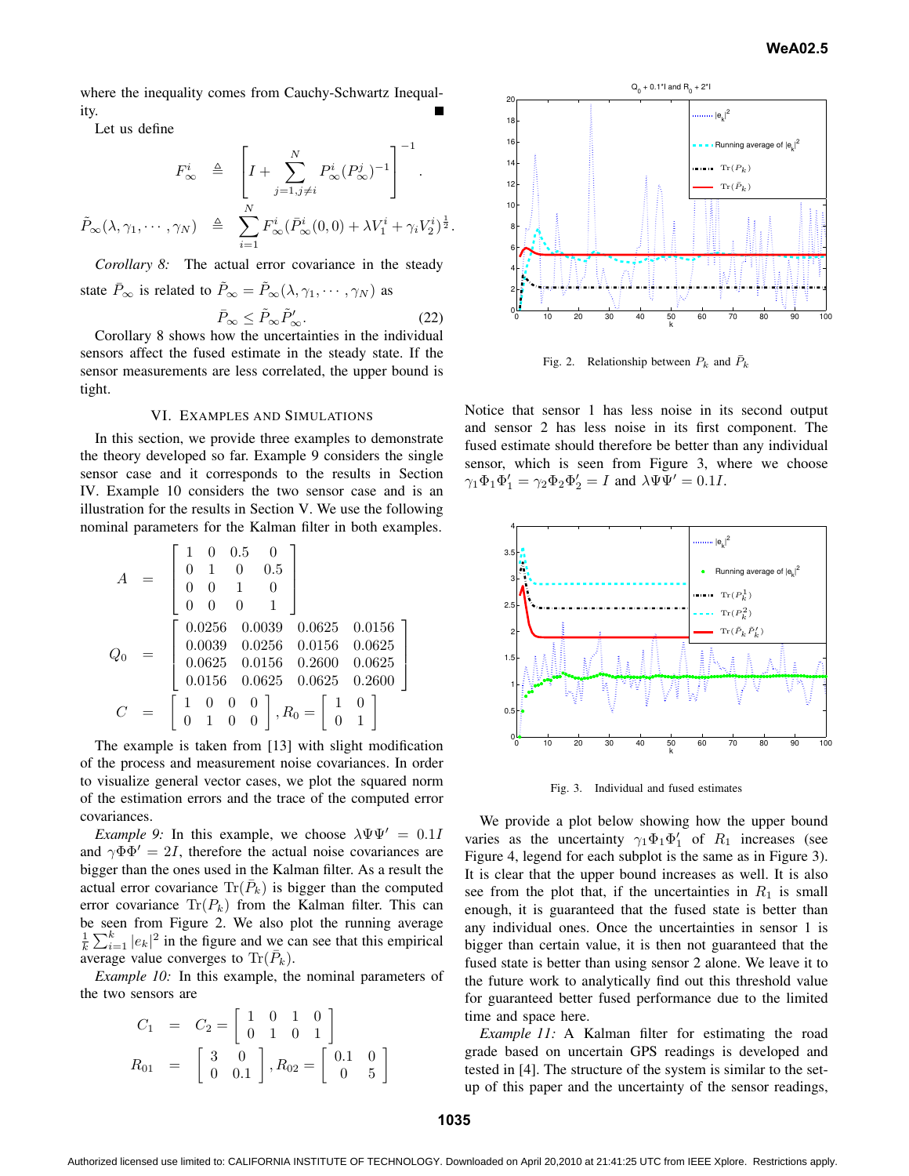where the inequality comes from Cauchy-Schwartz Inequality.

Let us define

$$
F_{\infty}^{i} \triangleq \left[I + \sum_{j=1, j \neq i}^{N} P_{\infty}^{i} (P_{\infty}^{j})^{-1}\right]^{-1}.
$$
  

$$
\tilde{P}_{\infty}(\lambda, \gamma_{1}, \cdots, \gamma_{N}) \triangleq \sum_{i=1}^{N} F_{\infty}^{i} (\bar{P}_{\infty}^{i}(0, 0) + \lambda V_{1}^{i} + \gamma_{i} V_{2}^{i})^{\frac{1}{2}}.
$$

*Corollary 8:* The actual error covariance in the steady state  $\bar{P}_{\infty}$  is related to  $\tilde{P}_{\infty} = \tilde{P}_{\infty}(\lambda, \gamma_1, \cdots, \gamma_N)$  as

$$
\bar{P}_{\infty} \le \tilde{P}_{\infty} \tilde{P}_{\infty}'.\tag{22}
$$

Corollary 8 shows how the uncertainties in the individual sensors affect the fused estimate in the steady state. If the sensor measurements are less correlated, the upper bound is tight.

### VI. EXAMPLES AND SIMULATIONS

In this section, we provide three examples to demonstrate the theory developed so far. Example 9 considers the single sensor case and it corresponds to the results in Section IV. Example 10 considers the two sensor case and is an illustration for the results in Section V. We use the following nominal parameters for the Kalman filter in both examples.

$$
A = \begin{bmatrix} 1 & 0 & 0.5 & 0 \\ 0 & 1 & 0 & 0.5 \\ 0 & 0 & 1 & 0 \\ 0 & 0 & 0 & 1 \end{bmatrix}
$$
  
\n
$$
Q_0 = \begin{bmatrix} 0.0256 & 0.0039 & 0.0625 & 0.0156 \\ 0.0039 & 0.0256 & 0.0156 & 0.0625 \\ 0.0625 & 0.0156 & 0.2600 & 0.0625 \\ 0.0156 & 0.0625 & 0.0625 & 0.2600 \end{bmatrix}
$$
  
\n
$$
C = \begin{bmatrix} 1 & 0 & 0 & 0 \\ 0 & 1 & 0 & 0 \\ 0 & 1 & 0 & 0 \end{bmatrix}, R_0 = \begin{bmatrix} 1 & 0 & 0 \\ 0 & 1 & 0 \\ 0 & 1 & 0 \end{bmatrix}
$$

The example is taken from [13] with slight modification of the process and measurement noise covariances. In order to visualize general vector cases, we plot the squared norm of the estimation errors and the trace of the computed error covariances.

*Example* 9: In this example, we choose  $\lambda \Psi \Psi' = 0.1I$ and  $\gamma \Phi \Phi' = 2I$ , therefore the actual noise covariances are bigger than the ones used in the Kalman filter. As a result the actual error covariance  $\text{Tr}(\bar{P}_k)$  is bigger than the computed error covariance  $\text{Tr}(P_k)$  from the Kalman filter. This can be seen from Figure 2. We also plot the running average 1  $\frac{1}{k} \sum_{i=1}^{k} |e_k|^2$  in the figure and we can see that this empirical average value converges to  $\text{Tr}(\bar{P}_k)$ .

*Example 10:* In this example, the nominal parameters of the two sensors are

$$
C_1 = C_2 = \begin{bmatrix} 1 & 0 & 1 & 0 \\ 0 & 1 & 0 & 1 \end{bmatrix}
$$
  
\n
$$
R_{01} = \begin{bmatrix} 3 & 0 \\ 0 & 0.1 \end{bmatrix}, R_{02} = \begin{bmatrix} 0.1 & 0 \\ 0 & 5 \end{bmatrix}
$$



Fig. 2. Relationship between  $P_k$  and  $\bar{P}_k$ 

Notice that sensor 1 has less noise in its second output and sensor 2 has less noise in its first component. The fused estimate should therefore be better than any individual sensor, which is seen from Figure 3, where we choose  $\gamma_1 \Phi_1 \Phi'_1 = \gamma_2 \Phi_2 \Phi'_2 = I$  and  $\lambda \Psi \Psi' = 0.1I$ .



Fig. 3. Individual and fused estimates

We provide a plot below showing how the upper bound varies as the uncertainty  $\gamma_1 \Phi_1 \Phi'_1$  of  $R_1$  increases (see Figure 4, legend for each subplot is the same as in Figure 3). It is clear that the upper bound increases as well. It is also see from the plot that, if the uncertainties in  $R_1$  is small enough, it is guaranteed that the fused state is better than any individual ones. Once the uncertainties in sensor 1 is bigger than certain value, it is then not guaranteed that the fused state is better than using sensor 2 alone. We leave it to the future work to analytically find out this threshold value for guaranteed better fused performance due to the limited time and space here.

*Example 11:* A Kalman filter for estimating the road grade based on uncertain GPS readings is developed and tested in [4]. The structure of the system is similar to the setup of this paper and the uncertainty of the sensor readings,